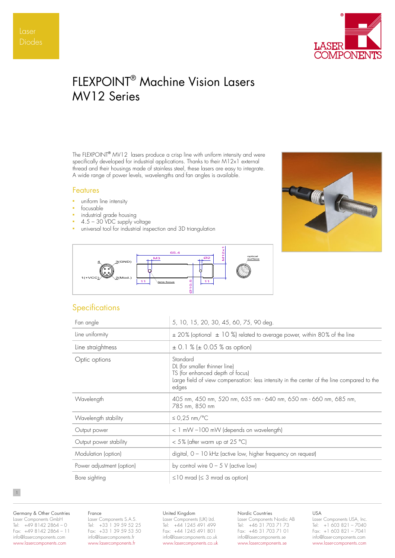

# FLEXPOINT® Machine Vision Lasers MV12 Series

The FLEXPOINT® MV12 lasers produce a crisp line with uniform intensity and were specifically developed for industrial applications. Thanks to their M12x1 external thread and their housings made of stainless steel, these lasers are easy to integrate. A wide range of power levels, wavelengths and fan angles is available.

## Features

- uniform line intensity
- focusable to the set of the set of the set of the set of the set of the set of the set of the set of the set of the set of the set of the set of the set of the set of the set of the set of the set of the set of the set
- industrial grade housing
- $4.5 30$  VDC supply voltage
- universal tool for industrial inspection and 3D triangulation





# **Specifications**

| Fan angle                 | 5, 10, 15, 20, 30, 45, 60, 75, 90 deg.                                                                                                                                               |
|---------------------------|--------------------------------------------------------------------------------------------------------------------------------------------------------------------------------------|
| Line uniformity           | $\pm$ 20% (optional $\pm$ 10 %) related to average power, within 80% of the line                                                                                                     |
| Line straightness         | $\pm$ 0.1 % ( $\pm$ 0.05 % as option)                                                                                                                                                |
| Optic options             | Standard<br>DL (for smaller thinner line)<br>TS (for enhanced depth of focus)<br>Large field of view compensation: less intensity in the center of the line compared to the<br>edges |
| Wavelength                | 405 nm, 450 nm, 520 nm, 635 nm - 640 nm, 650 nm - 660 nm, 685 nm,<br>785 nm, 850 nm                                                                                                  |
| Wavelength stability      | $\leq$ 0.25 nm/°C                                                                                                                                                                    |
| Output power              | < 1 mW -100 mW (depends on wavelength)                                                                                                                                               |
| Output power stability    | $<$ 5% (after warm up at 25 °C)                                                                                                                                                      |
| Modulation (option)       | digital, $0 - 10$ kHz (active low, higher frequency on request)                                                                                                                      |
| Power adjustment (option) | by control wire $0 - 5$ V (active low)                                                                                                                                               |
| Bore sighting             | $\leq$ 10 mrad ( $\leq$ 3 mrad as option)                                                                                                                                            |

Germany & Other Countries Laser Components GmbH Tel: +49 8142 2864 – 0 Fax: +49 8142 2864 – 11 info@lasercomponents.com www.lasercomponents.com

1

#### France

Laser Components S.A.S. Tel: +33 1 39 59 52 25 Fax: +33 1 39 59 53 50 info@lasercomponents.fr www.lasercomponents.fr

## United Kingdom

Laser Components (UK) Ltd. Tel: +44 1245 491 499 Fax: +44 1245 491 801 info@lasercomponents.co.uk www.lasercomponents.co.uk

# Nordic Countries

Laser Components Nordic AB Tel: +46 31 703 71 73 Fax: +46 31 703 71 01 info@lasercomponents.se www.lasercomponents.se

USA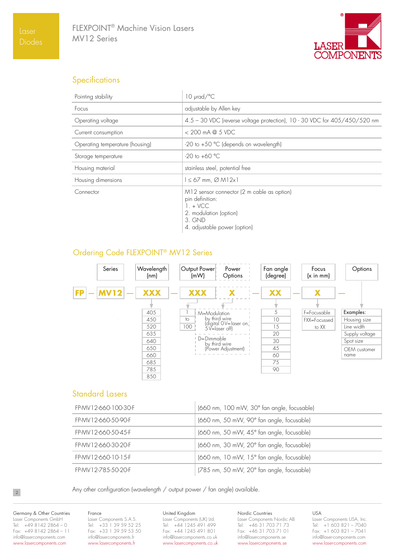

# **Specifications**

| Pointing stability              | $10 \mu$ rad/ $\degree$ C                                                                                                                        |
|---------------------------------|--------------------------------------------------------------------------------------------------------------------------------------------------|
| Focus                           | adjustable by Allen key                                                                                                                          |
| Operating voltage               | 4.5 - 30 VDC (reverse voltage protection), 10 - 30 VDC for 405/450/520 nm                                                                        |
| Current consumption             | $< 200$ mA @ 5 VDC                                                                                                                               |
| Operating temperature (housing) | -20 to +50 °C (depends on wavelength)                                                                                                            |
| Storage temperature             | $-20$ to $+60$ °C                                                                                                                                |
| Housing material                | stainless steel, potential free                                                                                                                  |
| Housing dimensions              | $\leq 67$ mm, $\varnothing$ M12x1                                                                                                                |
| Connector                       | M12 sensor connector (2 m cable as option)<br>pin definition:<br>$1.4$ VCC<br>2. modulation (option)<br>$3.$ GND<br>4. adjustable power (option) |

# Ordering Code FLEXPOINT® MV12 Series



# Standard Lasers

| FP-MV 1 2-660-100-30-F | (660 nm, 100 mW, 30° fan angle, focusable) |
|------------------------|--------------------------------------------|
| FP-MV12-660-50-90-F    | (660 nm, 50 mW, 90° fan angle, focusable)  |
| FP-MV 1 2-660-50-45-F  | (660 nm, 50 mW, 45° fan angle, focusable)  |
| FP-MV12-660-30-20-F    | (660 nm, 30 mW, 20° fan angle, focusable)  |
| FP-MV12-660-10-15-F    | (660 nm, 10 mW, 15° fan angle, focusable)  |
| FP-MV12-785-50-20-F    | (785 nm, 50 mW, 20° fan angle, focusable)  |

Any other configuration (wavelength / output power / fan angle) available.

Germany & Other Countries Laser Components GmbH Tel: +49 8142 2864 – 0 Fax: +49 8142 2864 – 11 info@lasercomponents.com www.lasercomponents.com

# France

Laser Components S.A.S. Tel: +33 1 39 59 52 25 Fax: +33 1 39 59 53 50 info@lasercomponents.fr www.lasercomponents.fr

## United Kingdom

Laser Components (UK) Ltd. Tel: +44 1245 491 499 Fax: +44 1245 491 801 info@lasercomponents.co.uk www.lasercomponents.co.uk Nordic Countries

Laser Components Nordic AB Tel: +46 31 703 71 73 Fax: +46 31 703 71 01 info@lasercomponents.se www.lasercomponents.se

USA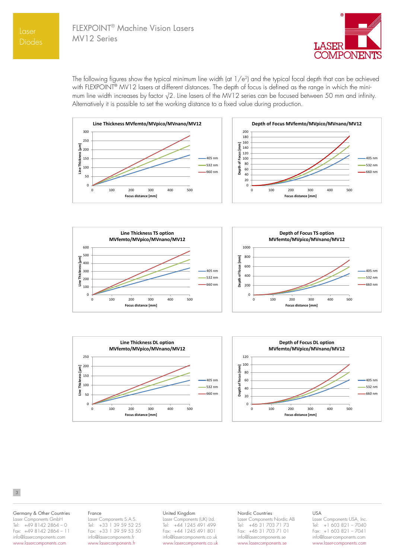

The following figures show the typical minimum line width (at  $1/e<sup>2</sup>$ ) and the typical focal depth that can be achieved with FLEXPOINT<sup>®</sup> MV12 lasers at different distances. The depth of focus is defined as the range in which the minimum line width increases by factor √2. Line lasers of the MV12 series can be focused between 50 mm and infinity. Alternatively it is possible to set the working distance to a fixed value during production.







### 3

#### Germany & Other Countries Laser Components GmbH Tel: +49 8142 2864 – 0 Fax: +49 8142 2864 - 11 info@lasercomponents.com www.lasercomponents.com

#### France

Laser Components S.A.S. Tel: +33 1 39 59 52 25 Fax: +33 1 39 59 53 50 info@lasercomponents.fr www.lasercomponents.fr

#### United Kingdom

Laser Components (UK) Ltd. Tel: +44 1245 491 499 Fax: +44 1245 491 801 info@lasercomponents.co.uk www.lasercomponents.co.uk

#### Nordic Countries

Laser Components Nordic AB Tel: +46 31 703 71 73 Fax: +46 31 703 71 01 info@lasercomponents.se www.lasercomponents.se

# USA